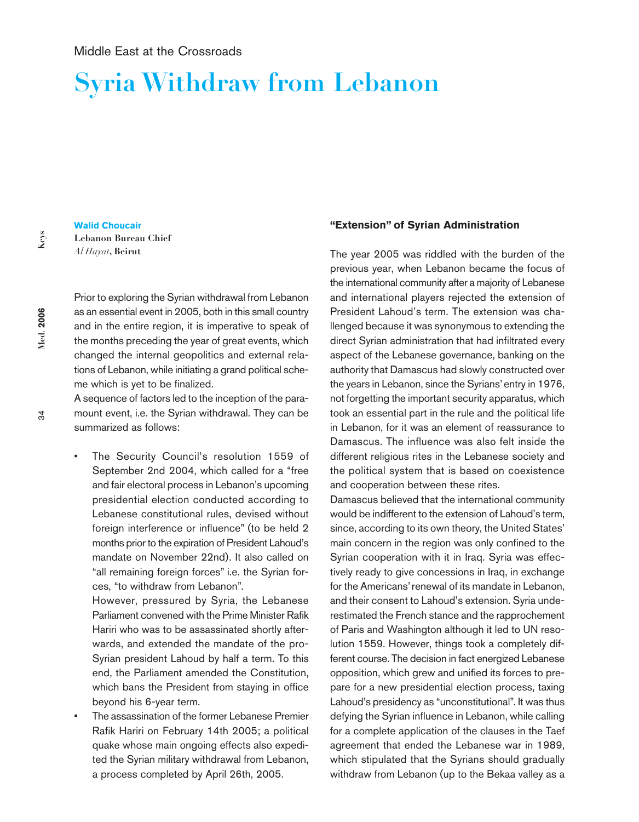# **Syria Withdraw from Lebanon**

**Med.** 2006 **Med. 2006**

34

**Walid Choucair Lebanon Bureau Chief** *Al Hayat***, Beirut**

Prior to exploring the Syrian withdrawal from Lebanon as an essential event in 2005, both in this small country and in the entire region, it is imperative to speak of the months preceding the year of great events, which changed the internal geopolitics and external relations of Lebanon, while initiating a grand political scheme which is yet to be finalized.

A sequence of factors led to the inception of the paramount event, i.e. the Syrian withdrawal. They can be summarized as follows:

The Security Council's resolution 1559 of September 2nd 2004, which called for a "free and fair electoral process in Lebanon's upcoming presidential election conducted according to Lebanese constitutional rules, devised without foreign interference or influence" (to be held 2 months prior to the expiration of President Lahoud's mandate on November 22nd). It also called on "all remaining foreign forces" i.e. the Syrian forces, "to withdraw from Lebanon".

However, pressured by Syria, the Lebanese Parliament convened with the Prime Minister Rafik Hariri who was to be assassinated shortly afterwards, and extended the mandate of the pro-Syrian president Lahoud by half a term. To this end, the Parliament amended the Constitution, which bans the President from staying in office beyond his 6-year term.

The assassination of the former Lebanese Premier Rafik Hariri on February 14th 2005; a political quake whose main ongoing effects also expedited the Syrian military withdrawal from Lebanon, a process completed by April 26th, 2005.

#### **"Extension" of Syrian Administration**

The year 2005 was riddled with the burden of the previous year, when Lebanon became the focus of the international community after a majority of Lebanese and international players rejected the extension of President Lahoud's term. The extension was challenged because it was synonymous to extending the direct Syrian administration that had infiltrated every aspect of the Lebanese governance, banking on the authority that Damascus had slowly constructed over the years in Lebanon, since the Syrians'entry in 1976, not forgetting the important security apparatus, which took an essential part in the rule and the political life in Lebanon, for it was an element of reassurance to Damascus. The influence was also felt inside the different religious rites in the Lebanese society and the political system that is based on coexistence and cooperation between these rites.

Damascus believed that the international community would be indifferent to the extension of Lahoud's term, since, according to its own theory, the United States' main concern in the region was only confined to the Syrian cooperation with it in Iraq. Syria was effectively ready to give concessions in Iraq, in exchange for the Americans'renewal of its mandate in Lebanon, and their consent to Lahoud's extension. Syria underestimated the French stance and the rapprochement of Paris and Washington although it led to UN resolution 1559. However, things took a completely different course. The decision in fact energized Lebanese opposition, which grew and unified its forces to prepare for a new presidential election process, taxing Lahoud's presidency as "unconstitutional". It was thus defying the Syrian influence in Lebanon, while calling for a complete application of the clauses in the Taef agreement that ended the Lebanese war in 1989, which stipulated that the Syrians should gradually withdraw from Lebanon (up to the Bekaa valley as a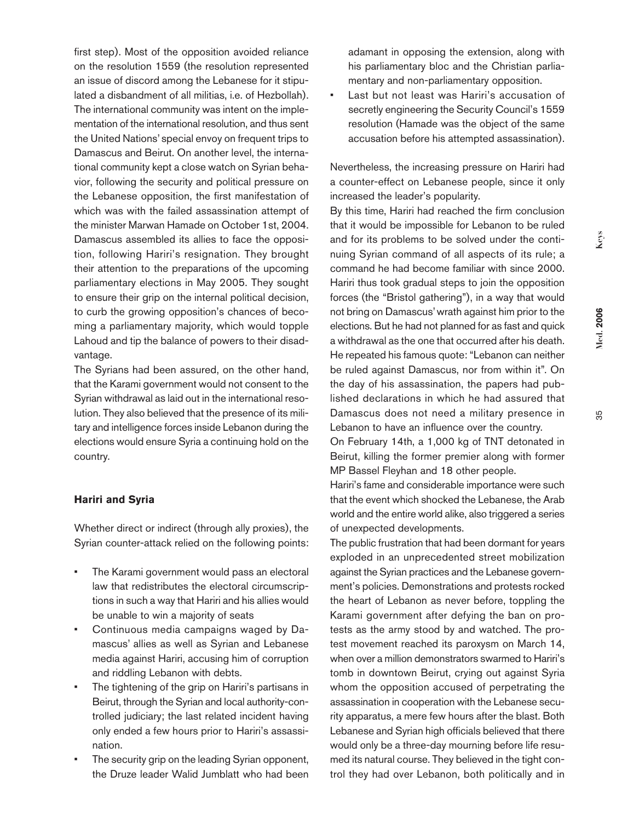Med. 2006 **Med. 2006**

first step). Most of the opposition avoided reliance on the resolution 1559 (the resolution represented an issue of discord among the Lebanese for it stipulated a disbandment of all militias, i.e. of Hezbollah). The international community was intent on the implementation of the international resolution, and thus sent the United Nations' special envoy on frequent trips to Damascus and Beirut. On another level, the international community kept a close watch on Syrian behavior, following the security and political pressure on the Lebanese opposition, the first manifestation of which was with the failed assassination attempt of the minister Marwan Hamade on October 1st, 2004. Damascus assembled its allies to face the opposition, following Hariri's resignation. They brought their attention to the preparations of the upcoming parliamentary elections in May 2005. They sought to ensure their grip on the internal political decision, to curb the growing opposition's chances of becoming a parliamentary majority, which would topple Lahoud and tip the balance of powers to their disad-

The Syrians had been assured, on the other hand, that the Karami government would not consent to the Syrian withdrawal as laid out in the international resolution. They also believed that the presence of its military and intelligence forces inside Lebanon during the elections would ensure Syria a continuing hold on the country.

### **Hariri and Syria**

vantage.

Whether direct or indirect (through ally proxies), the Syrian counter-attack relied on the following points:

- The Karami government would pass an electoral law that redistributes the electoral circumscriptions in such a way that Hariri and his allies would be unable to win a majority of seats
- Continuous media campaigns waged by Damascus' allies as well as Syrian and Lebanese media against Hariri, accusing him of corruption and riddling Lebanon with debts.
- The tightening of the grip on Hariri's partisans in Beirut, through the Syrian and local authority-controlled judiciary; the last related incident having only ended a few hours prior to Hariri's assassination.
- The security grip on the leading Syrian opponent, the Druze leader Walid Jumblatt who had been

adamant in opposing the extension, along with his parliamentary bloc and the Christian parliamentary and non-parliamentary opposition.

• Last but not least was Hariri's accusation of secretly engineering the Security Council's 1559 resolution (Hamade was the object of the same accusation before his attempted assassination).

Nevertheless, the increasing pressure on Hariri had a counter-effect on Lebanese people, since it only increased the leader's popularity.

By this time, Hariri had reached the firm conclusion that it would be impossible for Lebanon to be ruled and for its problems to be solved under the continuing Syrian command of all aspects of its rule; a command he had become familiar with since 2000. Hariri thus took gradual steps to join the opposition forces (the "Bristol gathering"), in a way that would not bring on Damascus'wrath against him prior to the elections. But he had not planned for as fast and quick a withdrawal as the one that occurred after his death. He repeated his famous quote: "Lebanon can neither be ruled against Damascus, nor from within it". On the day of his assassination, the papers had published declarations in which he had assured that Damascus does not need a military presence in Lebanon to have an influence over the country.

On February 14th, a 1,000 kg of TNT detonated in Beirut, killing the former premier along with former MP Bassel Fleyhan and 18 other people.

Hariri's fame and considerable importance were such that the event which shocked the Lebanese, the Arab world and the entire world alike, also triggered a series of unexpected developments.

The public frustration that had been dormant for years exploded in an unprecedented street mobilization against the Syrian practices and the Lebanese government's policies. Demonstrations and protests rocked the heart of Lebanon as never before, toppling the Karami government after defying the ban on protests as the army stood by and watched. The protest movement reached its paroxysm on March 14, when over a million demonstrators swarmed to Hariri's tomb in downtown Beirut, crying out against Syria whom the opposition accused of perpetrating the assassination in cooperation with the Lebanese security apparatus, a mere few hours after the blast. Both Lebanese and Syrian high officials believed that there would only be a three-day mourning before life resumed its natural course. They believed in the tight control they had over Lebanon, both politically and in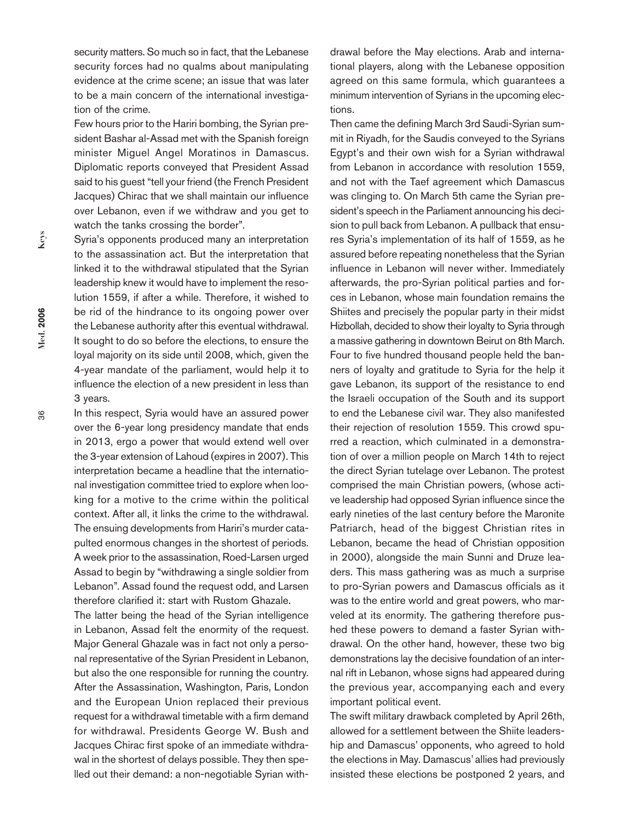security matters. So much so in fact, that the Lebanese security forces had no qualms about manipulating evidence at the crime scene; an issue that was later to be a main concern of the international investigation of the crime.

Few hours prior to the Hariri bombing, the Syrian president Bashar al-Assad met with the Spanish foreign minister Miguel Angel Moratinos in Damascus. Diplomatic reports conveyed that President Assad said to his guest "tell your friend (the French President Jacques) Chirac that we shall maintain our influence over Lebanon, even if we withdraw and you get to watch the tanks crossing the border".

Syria's opponents produced many an interpretation to the assassination act. But the interpretation that linked it to the withdrawal stipulated that the Syrian leadership knew it would have to implement the resolution 1559, if after a while. Therefore, it wished to be rid of the hindrance to its ongoing power over the Lebanese authority after this eventual withdrawal. It sought to do so before the elections, to ensure the loyal majority on its side until 2008, which, given the 4-year mandate of the parliament, would help it to influence the election of a new president in less than 3 years.

In this respect, Syria would have an assured power over the 6-year long presidency mandate that ends in 2013, ergo a power that would extend well over the 3-year extension of Lahoud (expires in 2007). This interpretation became a headline that the international investigation committee tried to explore when looking for a motive to the crime within the political context. After all, it links the crime to the withdrawal. The ensuing developments from Hariri's murder catapulted enormous changes in the shortest of periods. A week prior to the assassination, Roed-Larsen urged Assad to begin by "withdrawing a single soldier from Lebanon". Assad found the request odd, and Larsen therefore clarified it: start with Rustom Ghazale.

The latter being the head of the Syrian intelligence in Lebanon, Assad felt the enormity of the request. Major General Ghazale was in fact not only a personal representative of the Syrian President in Lebanon, but also the one responsible for running the country. After the Assassination, Washington, Paris, London and the European Union replaced their previous request for a withdrawal timetable with a firm demand for withdrawal. Presidents George W. Bush and Jacques Chirac first spoke of an immediate withdrawal in the shortest of delays possible. They then spelled out their demand: a non-negotiable Syrian withdrawal before the May elections. Arab and international players, along with the Lebanese opposition agreed on this same formula, which guarantees a minimum intervention of Syrians in the upcoming elections.

Then came the defining March 3rd Saudi-Syrian summit in Riyadh, for the Saudis conveyed to the Syrians Egypt's and their own wish for a Syrian withdrawal from Lebanon in accordance with resolution 1559, and not with the Taef agreement which Damascus was clinging to. On March 5th came the Syrian president's speech in the Parliament announcing his decision to pull back from Lebanon. A pullback that ensures Syria's implementation of its half of 1559, as he assured before repeating nonetheless that the Syrian influence in Lebanon will never wither. Immediately afterwards, the pro-Syrian political parties and forces in Lebanon, whose main foundation remains the Shiites and precisely the popular party in their midst Hizbollah, decided to show their loyalty to Syria through a massive gathering in downtown Beirut on 8th March. Four to five hundred thousand people held the banners of loyalty and gratitude to Syria for the help it gave Lebanon, its support of the resistance to end the Israeli occupation of the South and its support to end the Lebanese civil war. They also manifested their rejection of resolution 1559. This crowd spurred a reaction, which culminated in a demonstration of over a million people on March 14th to reject the direct Syrian tutelage over Lebanon. The protest comprised the main Christian powers, (whose active leadership had opposed Syrian influence since the early nineties of the last century before the Maronite Patriarch, head of the biggest Christian rites in Lebanon, became the head of Christian opposition in 2000), alongside the main Sunni and Druze leaders. This mass gathering was as much a surprise to pro-Syrian powers and Damascus officials as it was to the entire world and great powers, who marveled at its enormity. The gathering therefore pushed these powers to demand a faster Syrian withdrawal. On the other hand, however, these two big demonstrations lay the decisive foundation of an internal rift in Lebanon, whose signs had appeared during the previous year, accompanying each and every important political event.

The swift military drawback completed by April 26th, allowed for a settlement between the Shiite leadership and Damascus' opponents, who agreed to hold the elections in May. Damascus' allies had previously insisted these elections be postponed 2 years, and